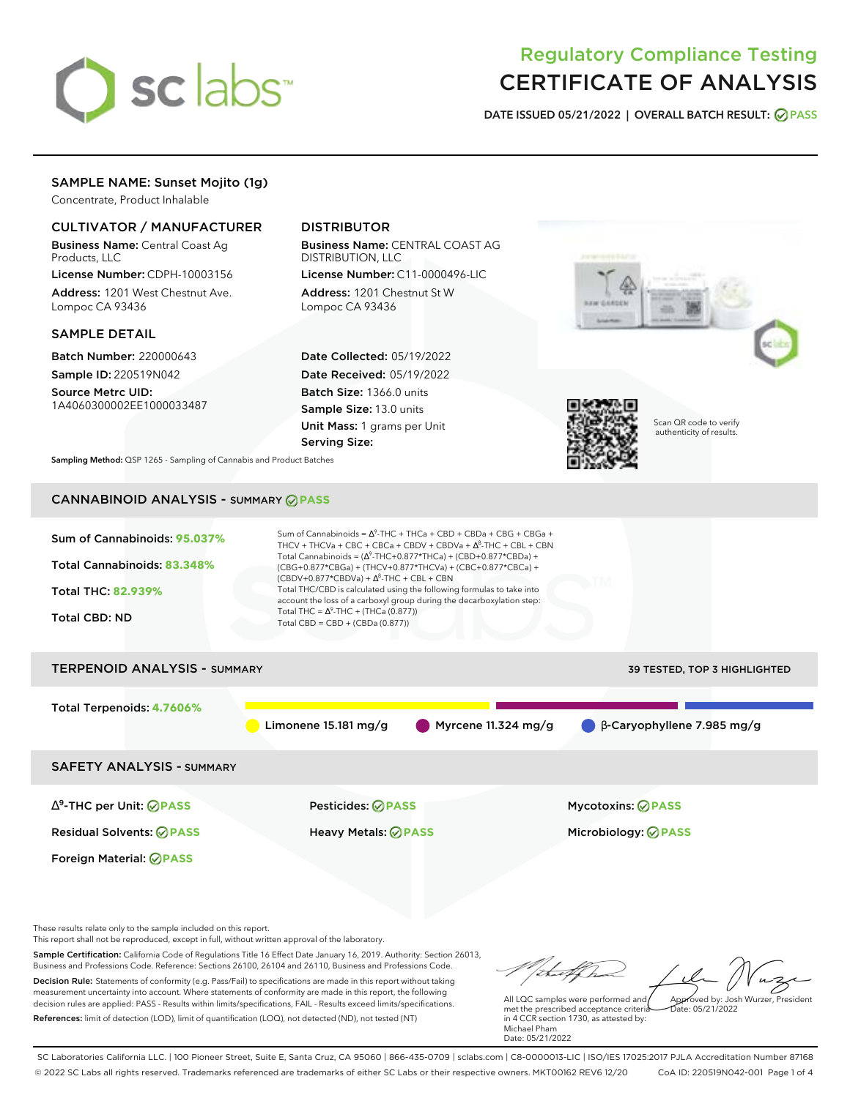

# Regulatory Compliance Testing CERTIFICATE OF ANALYSIS

**DATE ISSUED 05/21/2022 | OVERALL BATCH RESULT: PASS**

### SAMPLE NAME: Sunset Mojito (1g)

Concentrate, Product Inhalable

### CULTIVATOR / MANUFACTURER

Business Name: Central Coast Ag Products, LLC

License Number: CDPH-10003156 Address: 1201 West Chestnut Ave. Lompoc CA 93436

### SAMPLE DETAIL

Batch Number: 220000643 Sample ID: 220519N042

Source Metrc UID: 1A4060300002EE1000033487

### DISTRIBUTOR

Business Name: CENTRAL COAST AG DISTRIBUTION, LLC

License Number: C11-0000496-LIC Address: 1201 Chestnut St W Lompoc CA 93436

Date Collected: 05/19/2022 Date Received: 05/19/2022 Batch Size: 1366.0 units Sample Size: 13.0 units Unit Mass: 1 grams per Unit Serving Size:





Scan QR code to verify authenticity of results.

**Sampling Method:** QSP 1265 - Sampling of Cannabis and Product Batches

## CANNABINOID ANALYSIS - SUMMARY **PASS**



Residual Solvents: **PASS** Heavy Metals: **PASS** Microbiology: **PASS**

Foreign Material: **PASS**

These results relate only to the sample included on this report.

This report shall not be reproduced, except in full, without written approval of the laboratory.

Sample Certification: California Code of Regulations Title 16 Effect Date January 16, 2019. Authority: Section 26013, Business and Professions Code. Reference: Sections 26100, 26104 and 26110, Business and Professions Code. Decision Rule: Statements of conformity (e.g. Pass/Fail) to specifications are made in this report without taking measurement uncertainty into account. Where statements of conformity are made in this report, the following decision rules are applied: PASS - Results within limits/specifications, FAIL - Results exceed limits/specifications.

References: limit of detection (LOD), limit of quantification (LOQ), not detected (ND), not tested (NT)

Approved by: Josh Wurzer, President

 $hat: 05/21/2022$ 

All LQC samples were performed and met the prescribed acceptance criteria in 4 CCR section 1730, as attested by: Michael Pham Date: 05/21/2022

SC Laboratories California LLC. | 100 Pioneer Street, Suite E, Santa Cruz, CA 95060 | 866-435-0709 | sclabs.com | C8-0000013-LIC | ISO/IES 17025:2017 PJLA Accreditation Number 87168 © 2022 SC Labs all rights reserved. Trademarks referenced are trademarks of either SC Labs or their respective owners. MKT00162 REV6 12/20 CoA ID: 220519N042-001 Page 1 of 4